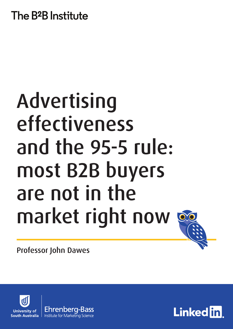# The B<sup>2</sup>B Institute

# Advertising effectiveness and the 95-5 rule: most B2B buyers are not in the market right now



Professor John Dawes



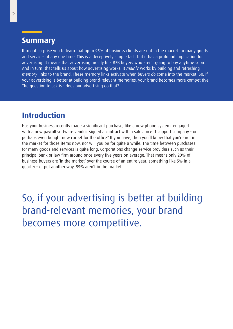#### **Summary**

It might surprise you to learn that up to 95% of business clients are not in the market for many goods and services at any one time. This is a deceptively simple fact, but it has a profound implication for advertising. It means that advertising mostly hits B2B buyers who aren't going to buy anytime soon. And in turn, that tells us about how advertising works: it *mainly* works by building and refreshing *memory* links to the brand. These memory links activate when buyers *do* come into the market. So, if your advertising is better at building brand-relevant memories, your brand becomes more competitive. The question to ask is - does our advertising do that?

### **Introduction**

Has your business recently made a significant purchase, like a new phone system, engaged with a new payroll software vendor, signed a contract with a salesforce IT support company - or perhaps even bought new carpet for the office? If you have, then you'll know that you're not in the market for those items now, nor will you be for quite a while. The time between purchases for many goods and services is quite long. Corporations change service providers such as their principal bank or law firm around once every five years on average. That means only 20% of business buyers are 'in the market' over the course of an entire year; something like 5% in a quarter – or put another way, 95% aren't in the market.

So, if your advertising is better at building brand-relevant memories, your brand becomes more competitive.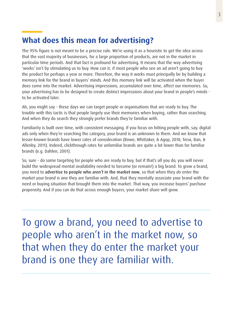# **What does this mean for advertising?**

The 95% figure is not meant to be a precise rule. We're using it as a heuristic to get the idea across that the vast majority of businesses, for a large proportion of products, are not in the market in particular time periods. And that fact is profound for advertising. It means that the way advertising 'works' isn't by stimulating us to buy. How can it, if most people who see an ad aren't going to buy the product for perhaps a year or more. Therefore, the way it works must principally be by building a memory link for the brand in buyers' minds. And this memory link will be activated when the buyer does come into the market. Advertising impressions, accumulated over time, affect our memories. So, your advertising has to be designed to create distinct impressions about your brand in people's minds to be activated later.

Ah, you might say - these days we can target people or organisations that are ready to buy. The trouble with this tactic is that people largely use their memories when buying, rather than searching. And when they do search they strongly prefer brands they're familiar with.

Familiarity is built over time, with consistent messaging. If you focus on hitting people with, say, digital ads only when they're searching the category, your brand is an unknown to them. And we know that lesser-known brands have lower rates of consideration (Rowe, Whittaker, & Agop, 2018; Terui, Ban, & Allenby, 2011). Indeed, clickthrough rates for unfamiliar brands are quite a lot lower than for familiar brands (e.g. Dahlen, 2001).

So, sure - do some targeting for people who are ready to buy, but if that's all you do, you will never build the widespread mental availability needed to become (or remain!) a big brand. To grow a brand, you need to advertise to people who *aren't* in the market now, so that when they *do* enter the market your brand is one they are familiar with. And, that they mentally associate your brand with the need or buying situation that brought them into the market. That way, you increase buyers' purchase propensity. And if you can do that across enough buyers, your market share will grow.

To grow a brand, you need to advertise to people who aren't in the market now, so that when they do enter the market your brand is one they are familiar with.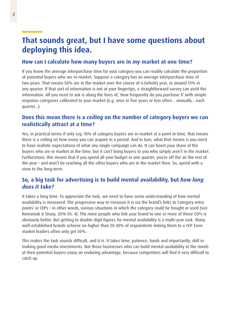## **That sounds great, but I have some questions about deploying this idea.**

#### **How can I calculate how many buyers are in** *my* **market at one time?**

If you know the average interpurchase time for your category you can readily calculate the proportion of potential buyers who are in-market. Suppose a category has an average interpurchase time of two years. That means 50% are in the market over the course of a (whole) year, or around 13% in any quarter. If that sort of information is not at your fingertips, a straightforward survey can yield the information. All you need to ask is along the lines of, 'How frequently do you purchase X' with simple response categories calibrated to your market (e.g. once in five years or less often... annually... each quarter...).

#### **Does this mean there is a** *ceiling* **on the number of category buyers we can realistically attract at a time?**

Yes, in practical terms if only say, 10% of category buyers are in-market at a point in time, that means there is a ceiling on how many you can acquire in a period. And in turn, what that means is you need to have realistic expectations of what any single campaign can do. It can boost your share of the buyers who are in market at the time, but it can't bring buyers to you who simply aren't in the market. Furthermore, this means that if you spend all your budget in one quarter, you're off the air the rest of the year – and won't be reaching all the other buyers who are in the market then. So, spend with a view to the long-term.

#### **So, a big task for advertising is to build mental availability, but** *how long does it take?*

It takes a long time. To appreciate the task, we need to have some understanding of how mental availability is measured. The progressive way to measure it is via the brand's links to 'category entry points' or CEPs – in other words, various situations in which the category could be bought or used (see Romaniuk & Sharp, 2016 Ch. 4). The more people who link your brand to one or more of these CEPs is obviously better. But getting to double-digit figures for mental availability is a multi-year task. Many well-established brands achieve no higher than 20-30% of respondents linking them to a CEP. Even market leaders often only get 50%.

This makes the task sounds difficult, and it is. It takes time, patience, funds and importantly, skill in making good media investments. But those businesses who *can* build mental availability in the minds of their potential buyers enjoy an enduring advantage, because competitors will find it very difficult to catch up.